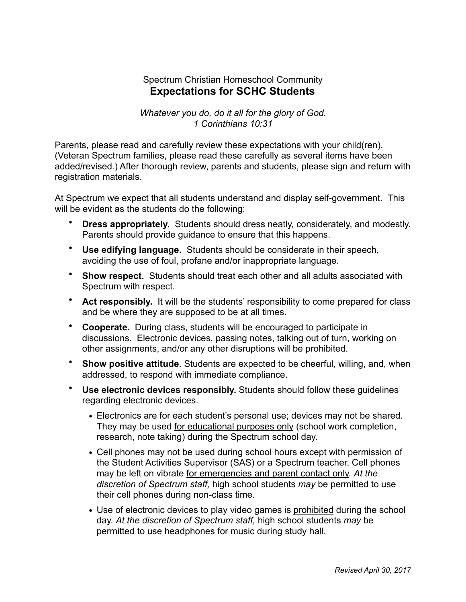## Spectrum Christian Homeschool Community **Expectations for SCHC Students**

*Whatever you do, do it all for the glory of God. 1 Corinthians 10:31* 

Parents, please read and carefully review these expectations with your child(ren). (Veteran Spectrum families, please read these carefully as several items have been added/revised.) After thorough review, parents and students, please sign and return with registration materials.

At Spectrum we expect that all students understand and display self-government. This will be evident as the students do the following:

- **Dress appropriately.** Students should dress neatly, considerately, and modestly. Parents should provide guidance to ensure that this happens.
- **Use edifying language.** Students should be considerate in their speech, avoiding the use of foul, profane and/or inappropriate language.
- **Show respect.** Students should treat each other and all adults associated with Spectrum with respect.
- **Act responsibly.** It will be the students' responsibility to come prepared for class and be where they are supposed to be at all times.
- **Cooperate.** During class, students will be encouraged to participate in discussions. Electronic devices, passing notes, talking out of turn, working on other assignments, and/or any other disruptions will be prohibited.
- **Show positive attitude**. Students are expected to be cheerful, willing, and, when addressed, to respond with immediate compliance.
- **Use electronic devices responsibly.** Students should follow these guidelines regarding electronic devices.
	- **•** Electronics are for each student's personal use; devices may not be shared. They may be used for educational purposes only (school work completion, research, note taking) during the Spectrum school day.
	- **•** Cell phones may not be used during school hours except with permission of the Student Activities Supervisor (SAS) or a Spectrum teacher. Cell phones may be left on vibrate for emergencies and parent contact only. *At the discretion of Spectrum staff,* high school students *may* be permitted to use their cell phones during non-class time.
	- Use of electronic devices to play video games is prohibited during the school day. *At the discretion of Spectrum staff,* high school students *may* be permitted to use headphones for music during study hall.